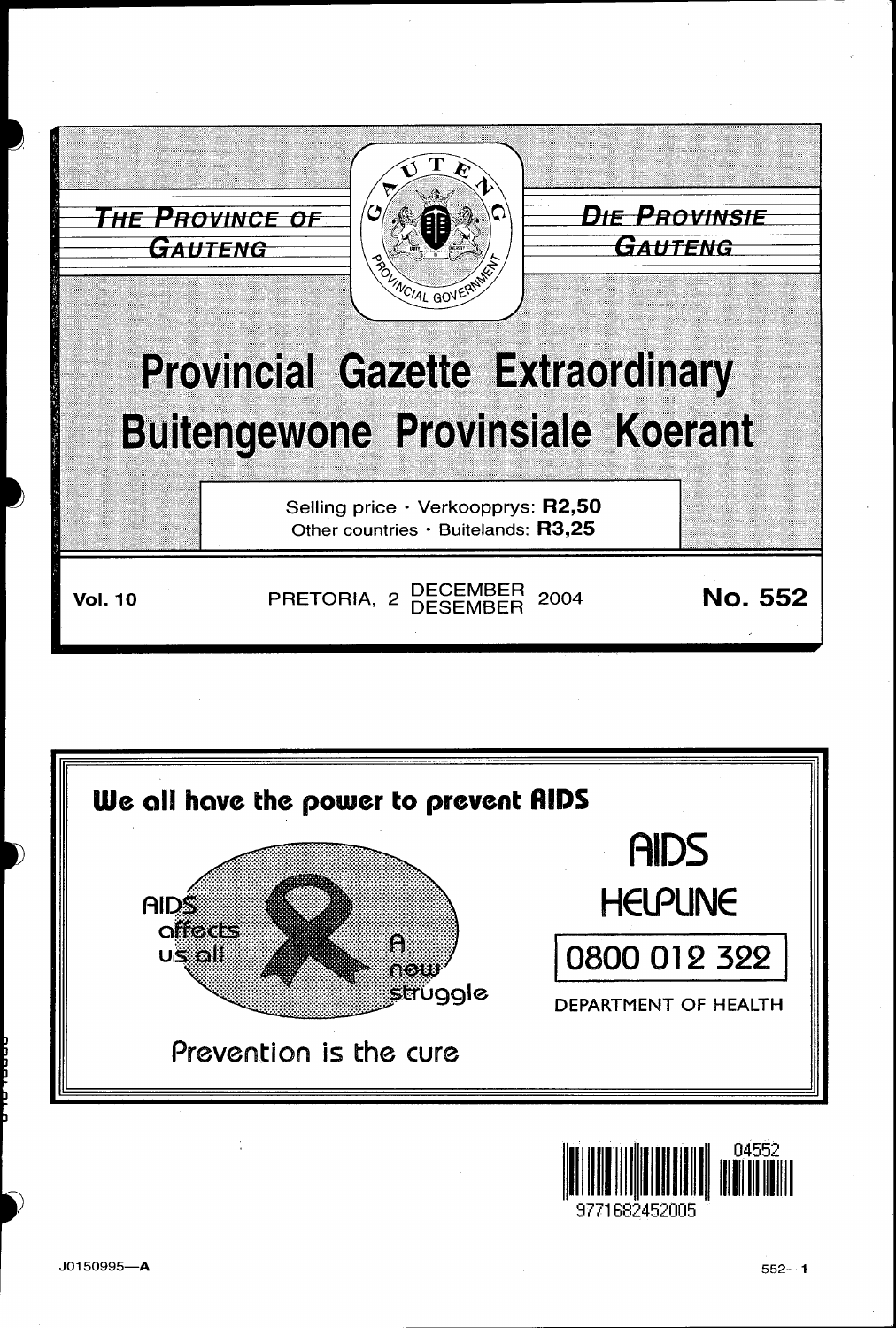

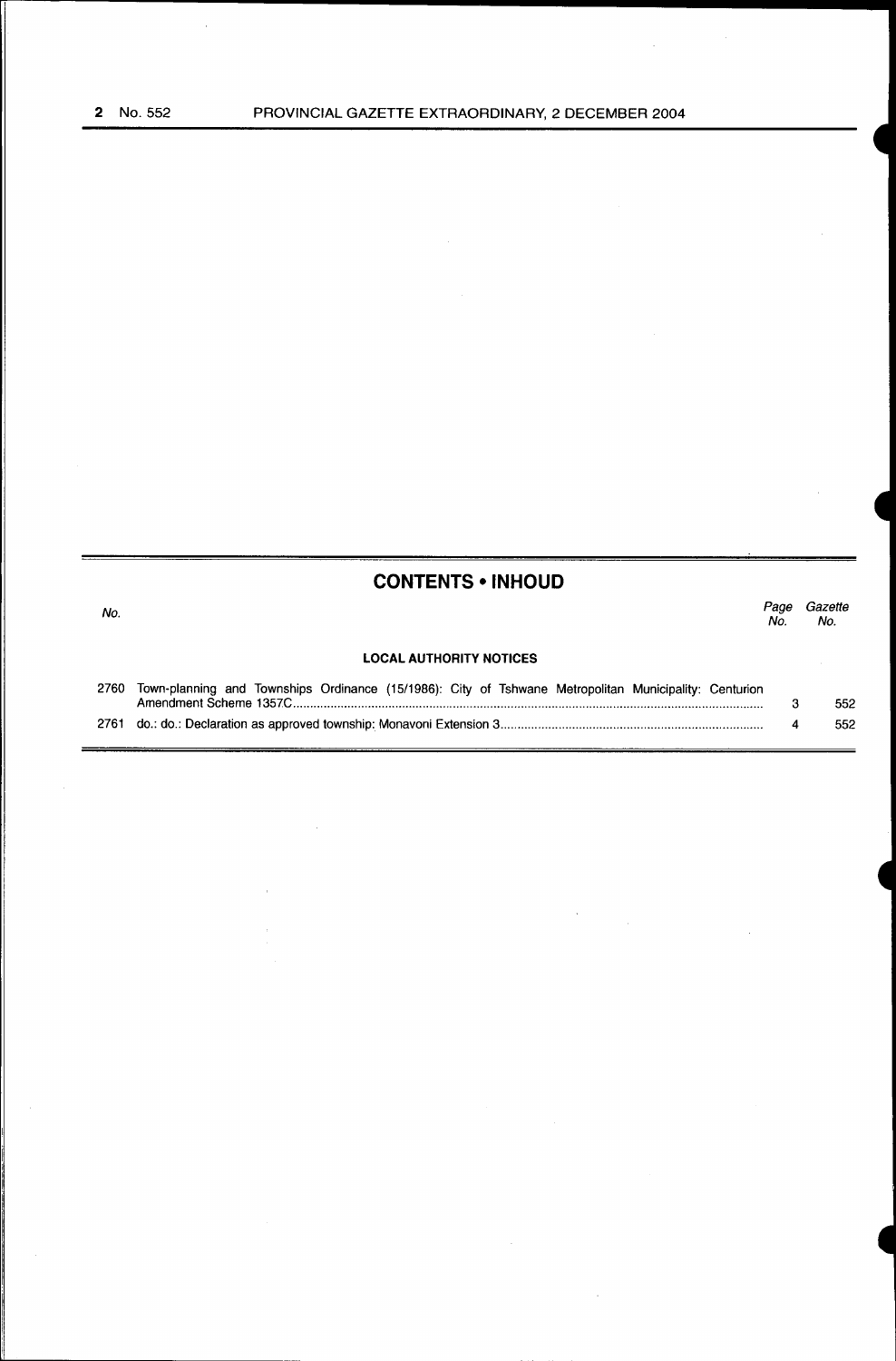$\mathcal{L}_{\mathcal{A}}$ 

### **CONTENTS • INHOUD**

| No.                            |                                                                                                       |  |  |  |  |  |  |  |  | Page<br>No. | Gazette<br>No. |  |
|--------------------------------|-------------------------------------------------------------------------------------------------------|--|--|--|--|--|--|--|--|-------------|----------------|--|
| <b>LOCAL AUTHORITY NOTICES</b> |                                                                                                       |  |  |  |  |  |  |  |  |             |                |  |
| 2760                           | Town-planning and Townships Ordinance (15/1986): City of Tshwane Metropolitan Municipality: Centurion |  |  |  |  |  |  |  |  |             |                |  |

| 2700 TOWIT planning and TOWIGHDS Ordinance (13/1300). Only 01 TSHWalle INCIDOPOIRAL INDIRODAIRY. CERRITOR | 552 |
|-----------------------------------------------------------------------------------------------------------|-----|
|                                                                                                           | 552 |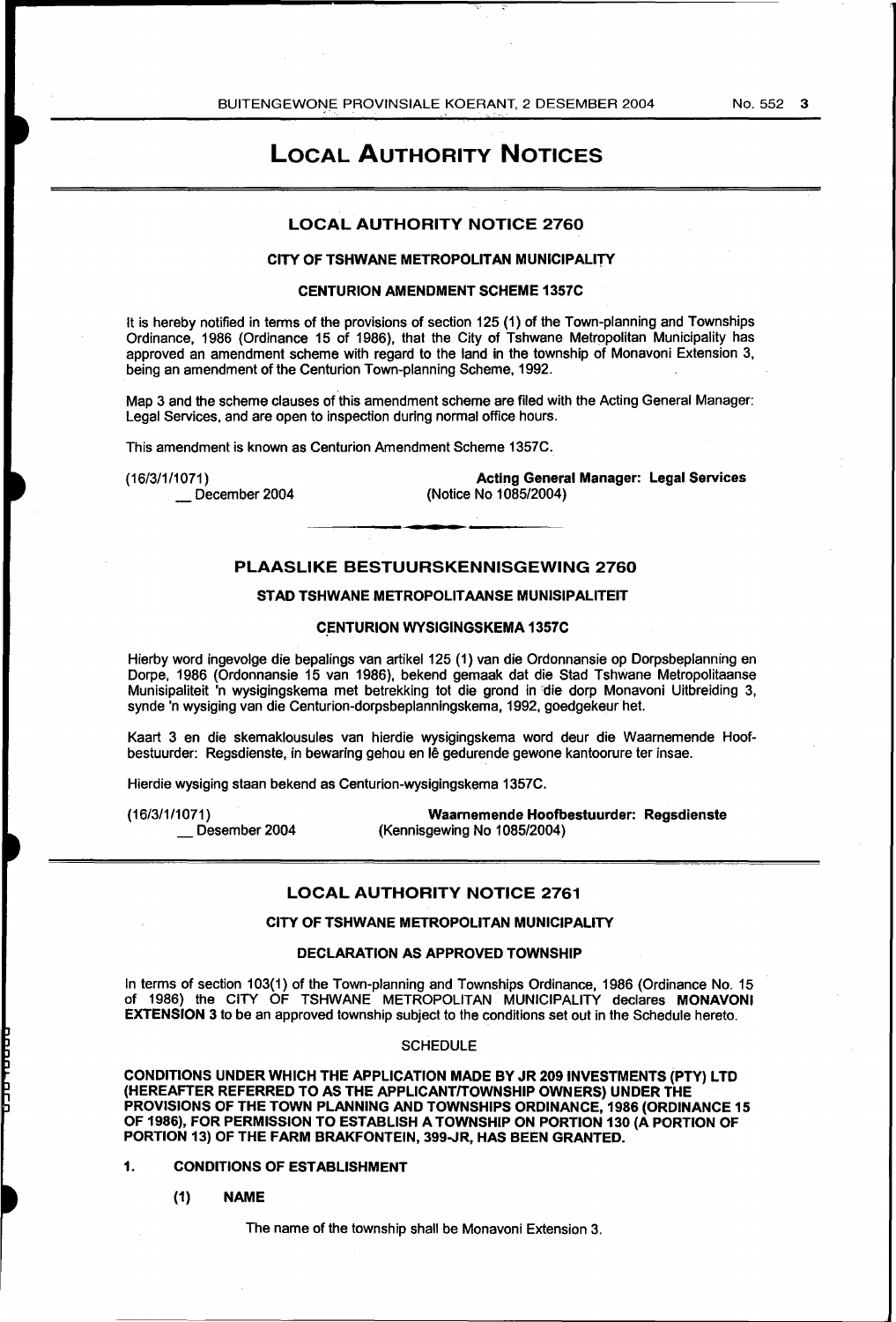## LOCAL AUTHORITY NOTICES

#### LOCAL AUTHORITY NOTICE 2760

#### CITY OF TSHWANE METROPOLITAN MUNICIPALITY

#### CENTURION AMENDMENT SCHEME 1357C

It is hereby notified in terms of the provisions of section 125 (1) of the Town-planning and Townships Ordinance, 1986 (Ordinance 15 of 1986), that the City of Tshwane Metropolitan Municipality has approved an amendment scheme with regard to the land in the township of Monavoni Extension 3, being an amendment of the Centurion Town-planning Scheme, 1992.

Map 3 and the scheme clauses of this amendment scheme are filed with the Acting General Manager: Legal Services, and are open to inspection during normal office hours.

This amendment is known as Centurion Amendment Scheme 1357C.

(16/3/1/1071)

December 2004

Acting General Manager: Legal Services (Notice No 1085/2004)

#### PLAASLIKE BESTUURSKENNISGEWING 2760

#### STAD TSHWANE METROPOLITAANSE MUNISIPALITEIT

#### **CENTURION WYSIGINGSKEMA 1357C**

Hierby word ingevolge die bepalings van artikel 125 (1) van die Ordonnansie op Dorpsbeplanning en Dorpe, 1986 (Ordonnansie 15 van 1986), bekend gemaak dat die Stad Tshwane Metropolitaanse Munisipaliteit 'n wysigingskema met betrekking tot die grond in 'die dorp Monavoni Uitbreiding 3, synde 'n wysiging van die Centurion-dorpsbeplanningskema, 1992, goedgekeur het.

Kaart 3 en die skemaklousules van hierdie wysigingskema word deur die Waarnemende Hoofbestuurder: Regsdienste, in bewaring gehou en lê gedurende gewone kantoorure ter insae.

Hierdie wysiging staan bekend as Centurion-wysigingskema 1357C.

(16/3/1/1071)

Desember 2004

Waarnemende Hoofbestuurder: Regsdienste (Kennisgewing No 1085/2004)

#### LOCAL AUTHORITY NOTICE 2761

#### CITY OF TSHWANE METROPOLITAN MUNICIPALITY

#### DECLARATION AS APPROVED TOWNSHIP

In terms of section 103(1) of the Town-planning and Townships Ordinance, 1986 (Ordinance No. 15 of 1986) the CITY OF TSHWANE METROPOLITAN MUNICIPALITY declares MONAVONI EXTENSION 3 to be an approved township subject to the conditions set out in the Schedule hereto.

#### **SCHEDULE**

CONDITIONS UNDER WHICH THE APPLICATION MADE BY JR 209 INVESTMENTS {PTY) LTD (HEREAFTER REFERRED TO AS THE APPLICANT/TOWNSHIP OWNERS) UNDER THE PROVISIONS OF THE TOWN PLANNING AND TOWNSHIPS ORDINANCE, 1986 (ORDINANCE 15 OF 1986), FOR PERMISSION TO ESTABLISH A TOWNSHIP ON PORTION 130 (A PORTION OF PORTION 13) OF THE FARM BRAKFONTEIN, 399-JR, HAS BEEN GRANTED.

#### 1. CONDITIONS OF ESTABLISHMENT

(1) NAME

The name of the township shall be Monavoni Extension 3.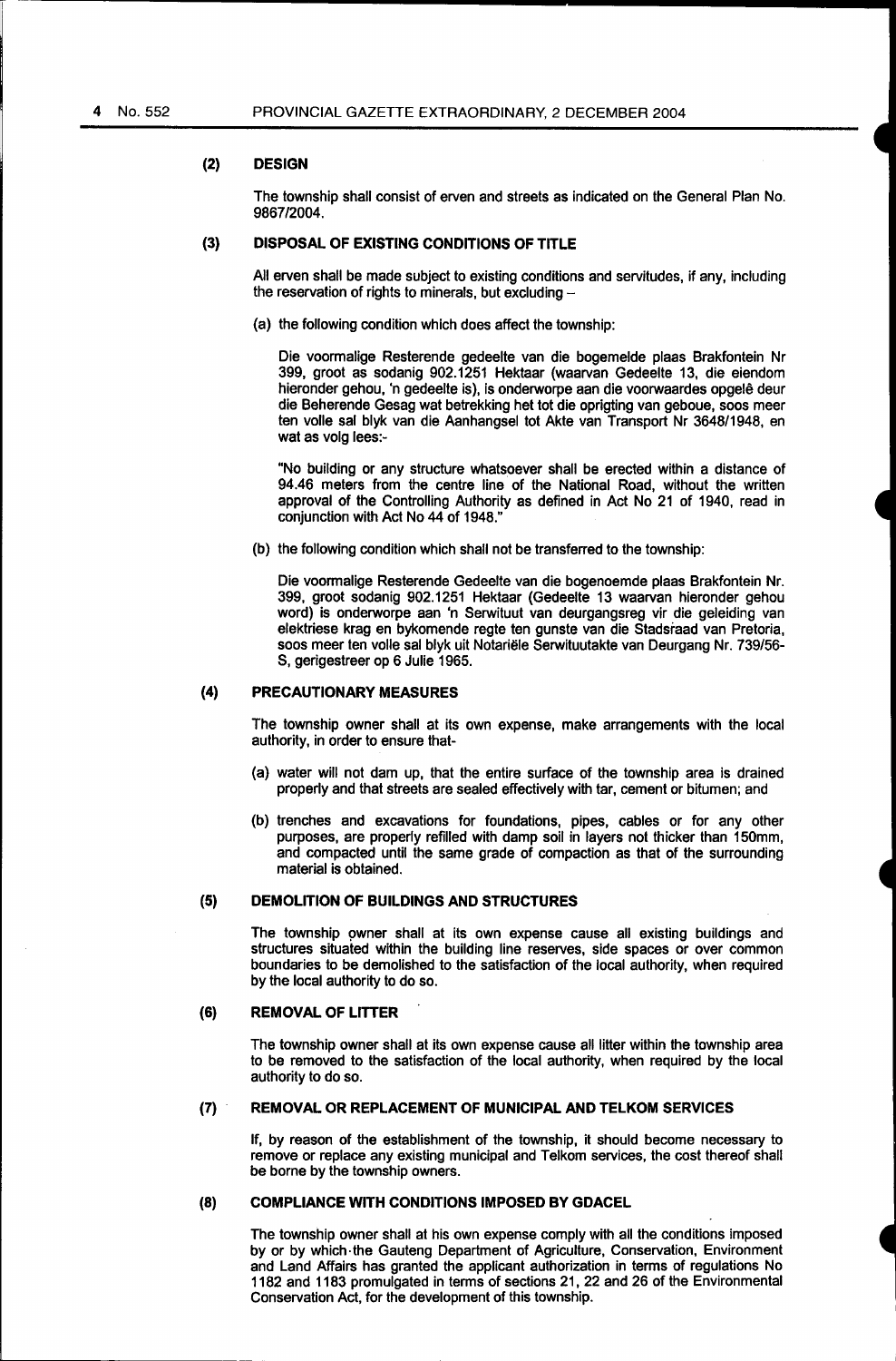#### **(2) DESIGN**

The township shall consist of erven and streets as indicated on the General Plan No. 9867/2004.

#### (3) **DISPOSAL OF EXISTING CONDITIONS OF TITLE**

All erven shall be made subject to existing conditions and servitudes, if any, including the reservation of rights to minerals, but excluding -

(a) the following condition which does affect the township:

Die voormalige Resterende gedeelte van die bogemelde plaas Brakfontein Nr 399, groot as sodanig 902.1251 Hektaar (waarvan Gedeelte 13, die eiendom hieronder gehou, 'n gedeelte is), is onderworpe aan die voorwaardes opgele deur die Beherende Gesag wat betrekking het tot die oprigting van geboue, soos meer ten volle sal blyk van die Aanhangsel tot Akte van Transport Nr 3648/1948, en wat as volg lees:-

"No building or any structure whatsoever shall be erected within a distance of 94.46 meters from the centre line of the National Road, without the written approval of the Controlling Authority as defined in Act No 21 of 1940, read in conjunction with Act No 44 of 1948."

(b) the following condition which shall not be transferred to the township:

Die voormalige Resterende Gedeelte van die bogenoemde plaas Brakfontein Nr. 399, groat sodanig 902.1251 Hektaar (Gedeelte 13 waarvan hieronder gehou word) is onderworpe aan 'n Serwituut van deurgangsreg vir die geleiding van elektriese krag en bykomende regte ten gunste van die Stadsraad van Pretoria, soos meer ten valle sal blyk uit Notariele Serwituutakte van Deurgang Nr. 739/56- S, gerigestreer op 6 Julie 1965.

#### **(4) PRECAUTIONARY MEASURES**

The township owner shall at its own expense, make arrangements with the local authority, in order to ensure that-

- (a) water will not dam up, that the entire surface of the township area is drained properly and that streets are sealed effectively with tar, cement or bitumen; and
- (b) trenches and excavations for foundations, pipes, cables or for any other purposes, are properly refilled with damp soil in layers not thicker than 150mm, and compacted until the same grade of compaction as that of the surrounding material is obtained.

#### **(5) DEMOLITION OF BUILDINGS AND STRUCTURES**

The township owner shall at its own expense cause all existing buildings and structures situated within the building line reserves, side spaces or over common boundaries to be demolished to the satisfaction of the local authority, when required by the local authority to do so.

#### **(6) REMOVAL OF LITTER**

The township owner shall at its own expense cause all litter within the township area to be removed to the satisfaction of the local authority, when required by the local authority to do so.

#### **(7) REMOVAL OR REPLACEMENT OF MUNICIPAL AND TELKOM SERVICES**

If, by reason of the establishment of the township, it should become necessary to remove or replace any existing municipal and Telkom services, the cost thereof shall be borne by the township owners.

#### **(8) COMPLIANCE WITH CONDITIONS IMPOSED BY GDACEL**

The township owner shall at his own expense comply with all the conditions imposed by or by which· the Gauteng Department of Agriculture, Conservation, Environment and Land Affairs has granted the applicant authorization in terms of regulations No 1182 and 1183 promulgated in terms of sections 21, 22 and 26 of the Environmental Conservation Act, for the development of this township.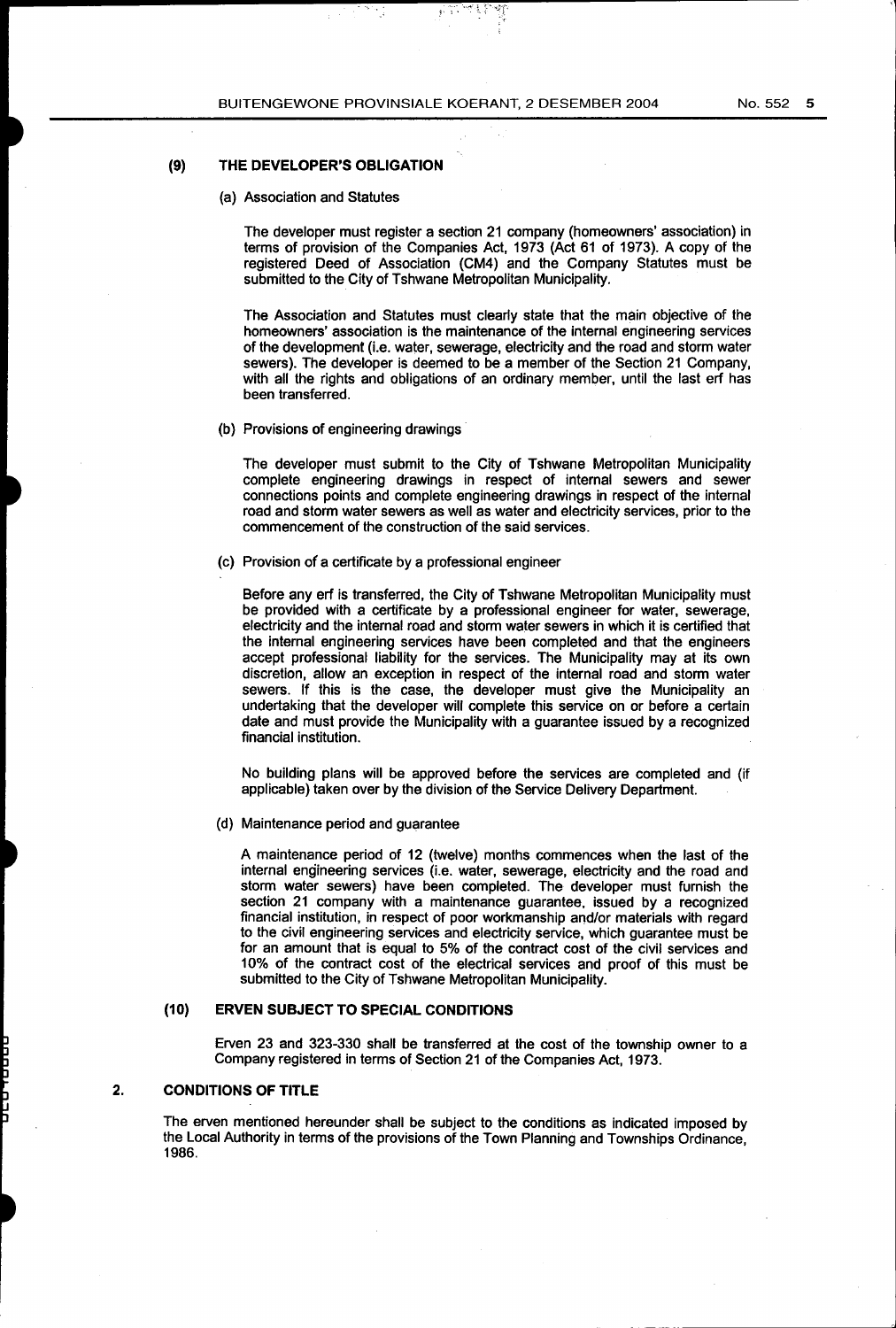.... ·,., .• ·: J· J•

#### **(9) THE DEVELOPER'S OBLIGATION**

(a) Association and Statutes

The developer must register a section 21 company (homeowners' association) in terms of provision of the Companies Act, 1973 (Act 61 of 1973). A copy of the registered Deed of Association (CM4) and the Company Statutes must be submitted to the City of Tshwane Metropolitan Municipality.

The Association and Statutes must clearly state that the main objective of the homeowners' association is the maintenance of the internal engineering services of the development (i.e. water, sewerage, electricity and the road and storm water sewers). The developer is deemed to be a member of the Section 21 Company, with all the rights and obligations of an ordinary member, until the last erf has been transferred.

(b) Provisions of engineering drawings·

The developer must submit to the City of Tshwane Metropolitan Municipality complete engineering drawings in respect of internal sewers and sewer connections points and complete engineering drawings in respect of the internal road and storm water sewers as well as water and electricity services, prior to the commencement of the construction of the said services.

(c) Provision of a certificate by a professional engineer

Before any erf is transferred, the City of Tshwane Metropolitan Municipality must be provided with a certificate by a professional engineer for water, sewerage, electricity and the internal road and storm water sewers in which it is certified that the internal engineering services have been completed and that the engineers accept professional liability for the services. The Municipality may at its own discretion, allow an exception in respect of the internal road and storm water sewers. If this is the case, the developer must give the Municipality an undertaking that the developer will complete this service on or before a certain date and must provide the Municipality with a guarantee issued by a recognized financial institution.

No building plans will be approved before the services are completed and (if applicable) taken over by the division of the Service Delivery Department.

(d) Maintenance period and guarantee

A maintenance period of 12 (twelve) months commences when the last of the internal engineering services (i.e. water, sewerage, electricity and the road and storm water sewers) have been completed. The developer must furnish the section 21 company with a maintenance guarantee, issued by a recognized financial institution, in respect of poor workmanship and/or materials with regard to the civil engineering services and electricity service, which guarantee must be for an amount that is equal to 5% of the contract cost of the civil services and 10% of the contract cost of the electrical services and proof of this must be submitted to the City of Tshwane Metropolitan Municipality.

#### **(10) ERVEN SUBJECT TO SPECIAL CONDITIONS**

Erven 23 and 323-330 shall be transferred at the cost of the township owner to a Company registered in terms of Section 21 of the Companies Act, 1973.

#### **2. CONDITIONS OF TITLE**

The erven mentioned hereunder shall be subject to the conditions as indicated imposed by the Local Authority in terms of the provisions of the Town Planning and Townships Ordinance, 1986.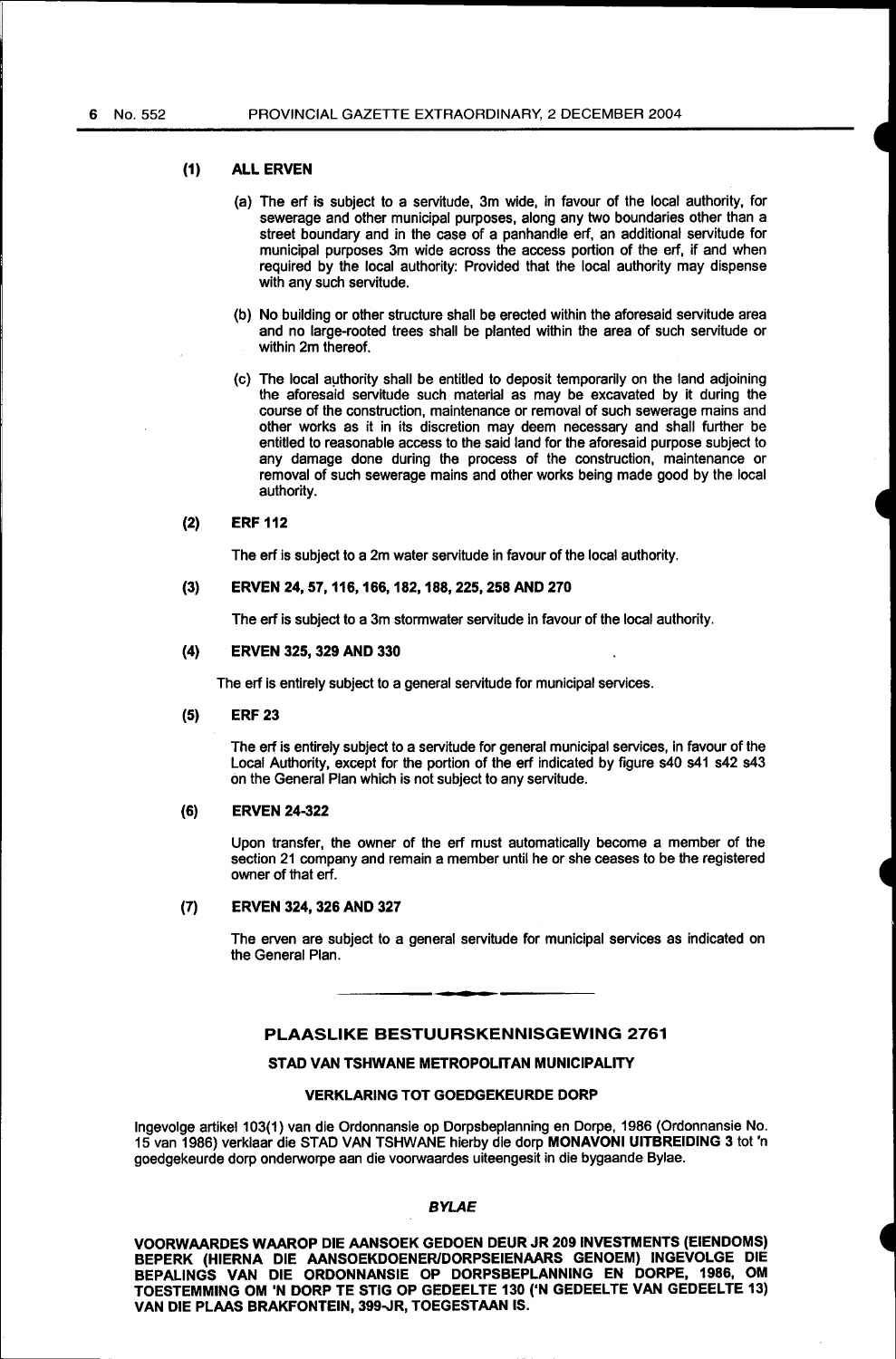#### (1) ALL ERVEN

- (a) The erf is subject to a servitude, 3m wide, in favour of the local authority, for sewerage and other municipal purposes, along any two boundaries other than a street boundary and in the case of a panhandle erf, an additional servitude for municipal purposes 3m wide across the access portion of the erf, if and when required by the local authority: Provided that the local authority may dispense with any such servitude.
- (b) No building or other structure shall be erected within the aforesaid servitude area and no large-rooted trees shall be planted within the area of such servitude or within 2m thereof.
- (c) The local authority shall be entitled to deposit temporarily on the land adjoining the aforesaid servitude such material as may be excavated by it during the course of the construction, maintenance or removal of such sewerage mains and other works as it in its discretion may deem necessary and shall further be entitled to reasonable access to the said land for the aforesaid purpose subject to any damage done during the process of the construction, maintenance or removal of such sewerage mains and other works being made good by the local authority.

#### (2) ERF 112

The erf is subject to a 2m water servitude in favour of the local authority.

#### (3) ERVEN 24, 57, 116,166, 182, 188,225,258 AND 270

The erf is subject to a 3m stormwater servitude in favour of the local authority.

#### (4) ERVEN 325, 329 AND 330

The erf is entirely subject to a general servitude for municipal services.

#### (5) ERF 23

The erf is entirely subject to a servitude for general municipal services, in favour of the Local Authority, except for the portion of the erf indicated by figure s40 s41 s42 s43 on the General Plan which is not subject to any servitude.

#### (6) ERVEN 24-322

Upon transfer, the owner of the erf must automatically become a member of the section 21 company and remain a member until he or she ceases to be the registered owner of that erf.

#### (7) ERVEN 324, 326 AND 327

The erven are subject to a general servitude for municipal services as indicated on the General Plan.

#### PLAASLIKE BESTUURSKENNISGEWING 2761

#### STAD VAN TSHWANE METROPOLITAN MUNICIPALITY

#### VERKLARING TOT GOEDGEKEURDE DORP

Ingevolge artikel 103(1) van die Ordonnansie op Dorpsbeplanning en Dorpe, 1986 (Ordonnansie No. 15 van 1986) verklaar die STAD VAN TSHWANE hierby die dorp MONAVONI UITBREIDING 3 tot 'n goedgekeurde dorp onderworpe aan die voorwaardes uiteengesit in die bygaande Bylae.

#### BYLAE

VOORWAARDES WAAROP DIE AANSOEK GEDOEN DEUR JR 209 INVESTMENTS (EIENDOMS) BEPERK (HIERNA DIE AANSOEKDOENERIDORPSEIENAARS GENOEM) INGEVOLGE DIE BEPALINGS VAN DIE ORDONNANSIE OP DORPSBEPLANNING EN DORPE, 1986, OM TOESTEMMING OM 'N DORP TE STIG OP GEDEELTE 130 ('N GEDEELTE VAN GEDEELTE 13) VAN DIE PLAAS BRAKFONTEIN, 399-JR, TOEGESTAAN IS.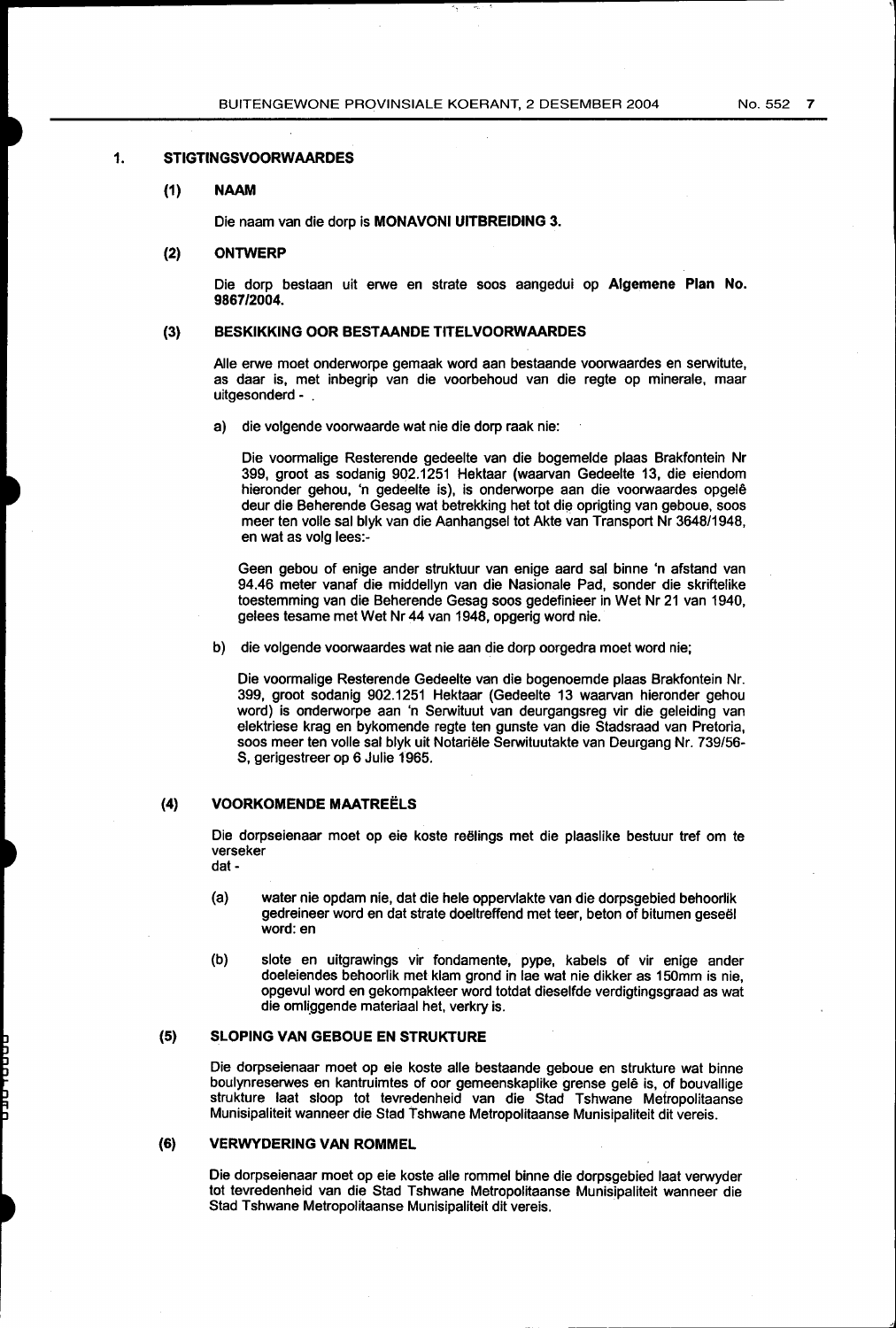#### **1. STIGTINGSVOORWAARDES**

#### **(1) NAAM**

Die naam van die dorp is **MONAVONI UITBREIDING 3.** 

#### (2) **ONTWERP**

Die dorp bestaan uit erwe en strate soos aangedui op **Algemene Plan No. 9867/2004.** 

#### (3) **BESKIKKING OOR BESTAANDE TITELVOORWAARDES**

Aile erwe moet onderworpe gemaak word aan bestaande voorwaardes en serwitute, as daar is, met inbegrip van die voorbehoud van die regte op minerale, maar uitgesonderd - .

a) die volgende voorwaarde wat nie die dorp raak nie:

Die voormalige Resterende gedeelte van die bogemelde plaas Brakfontein Nr 399, groot as sodanig 902.1251 Hektaar (waarvan Gedeelte 13, die eiendom hieronder gehou, 'n gedeelte is), is onderworpe aan die voorwaardes opgele deur die Beherende Gesag wat betrekking het tot die oprigting van geboue, soos meer ten volle sal blyk van die Aanhangsel tot Akte van Transport Nr 3648/1948, en wat as volg lees:-

Geen gebou of enige ander struktuur van enige aard sal binne 'n afstand van 94.46 meter vanaf die middellyn van die Nasionale Pad, sonder die skriftelike toestemming van die Beherende Gesag soos gedefinieer in Wet Nr 21 van 1940, gelees tesame met Wet Nr 44 van 1948, opgerig word nie.

b) die volgende voorwaardes wat nie aan die dorp oorgedra moet word nie;

Die voormalige Resterende Gedeelte van die bogenoemde plaas Brakfontein Nr. 399, groot sodanig 902.1251 Hektaar (Gedeelte 13 waarvan hieronder gehou word) is onderworpe aan 'n Serwituut van deurgangsreg vir die geleiding van elektriese krag en bykomende regte ten gunste van die Stadsraad van Pretoria, soos meer ten volle sal blyk uit Notariele Serwituutakte van Deurgang Nr. 739/56- S, gerigestreer op 6 Julie 1965.

#### **(4) VOORKOMENDE MAATREELS**

Die dorpseienaar moet op eie koste reelings met die plaasfike bestuur tref om te verseker dat-

- (a) water nie opdam nie, dat die hele oppervlakte van die dorpsgebied behoorlik gedreineer word en dat strate doeltreffend met teer, beton of bitumen geseel word: en
- (b) slote en uitgrawings vir fondamente, pype, kabels of vir enige ander doeleiendes behoorlik met klam grond in lae wat nie dikker as 150mm is nie, opgevul word en gekompakteer word totdat dieselfde verdigtingsgraad as wat die omliggende materiaal het, verkry is.

#### (5) **SLOPING VAN GEBOUE EN STRUKTURE**

Die dorpseienaar moet op eie koste aile bestaande geboue en strukture wat binne boulynreserwes en kantruimtes of oor gemeenskaplike grense gele is, of bouvallige strukture laat sloop tot tevredenheid van die Stad Tshwane Mefropolitaanse Munisipaliteit wanneer die Stad Tshwane Metropolitaanse Munisipaliteit dit vereis.

#### **(6) VERWYDERING VAN ROMMEL**

Die dorpseienaar moet op eie koste aile rommel binne die dorpsgebied laat verwyder tot tevredenheid van die Stad Tshwane Metropolitaanse Munisipaliteit wanneer die Stad Tshwane Metropolitaanse Munisipaliteit dit vereis.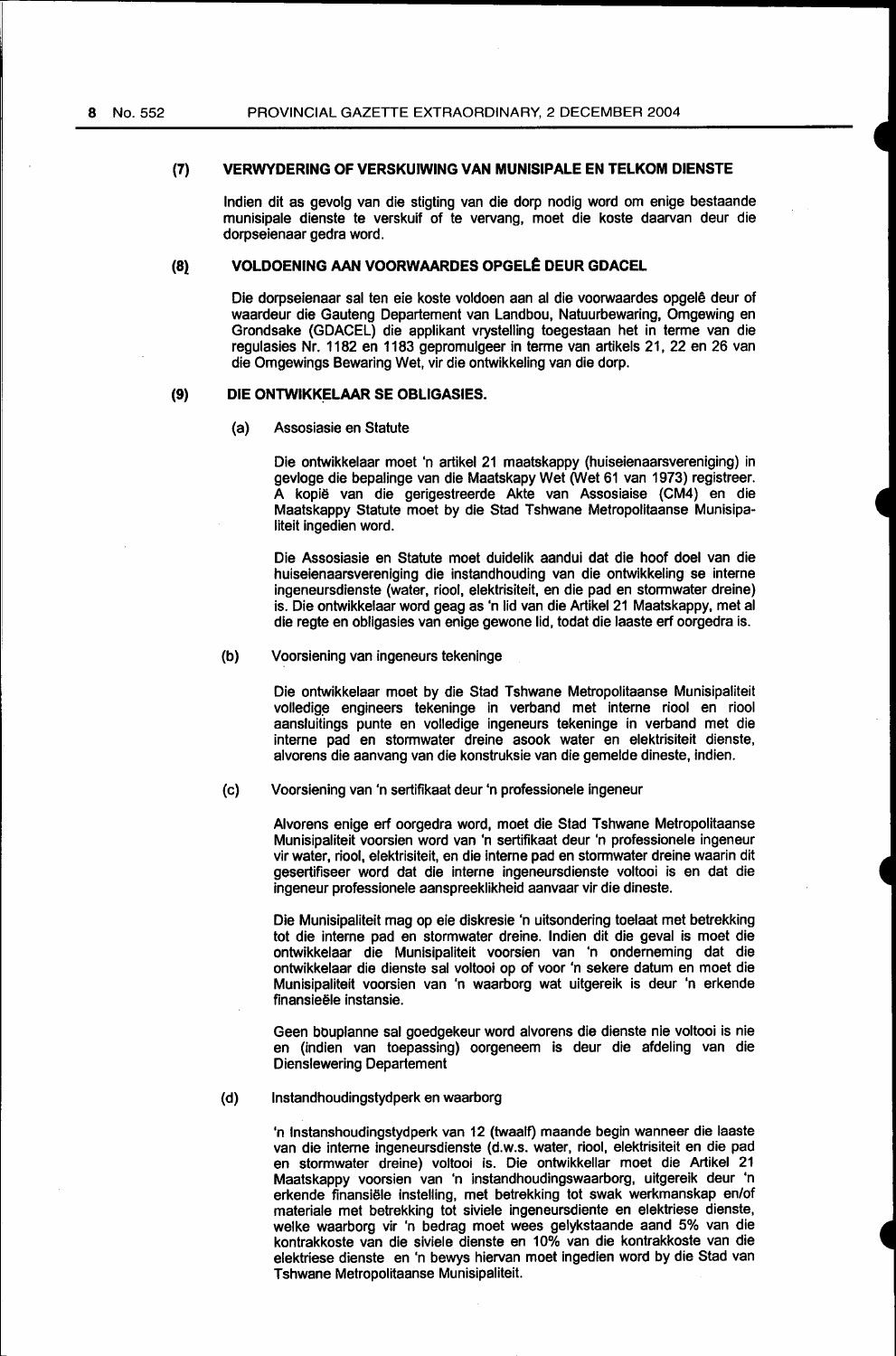#### **(7) VERWYDERING OF VERSKUIWING VAN MUNISIPALE EN TELKOM DIENSTE**

lndien dit as gevolg van die stigting van die dorp nodig word om enige bestaande munisipale dienste te verskuif of te vervang, moet die koste daarvan deur die dorpseienaar gedra word.

#### **(8} VOLDOENING AAN VOORWAARDES** OPGEL~ **DEUR GDACEL**

Die dorpseienaar sal ten eie koste voldoen aan al die voorwaardes opgele deur of waardeur die Gauteng Departement van Landbou, Natuurbewaring, Omgewing en Grondsake (GDACEL) die applikant vrystelling toegestaan het in terme van die regulasies Nr. 1182 en 1183 gepromulgeer in terme van artikels 21,22 en 26 van die Omgewings Bewaring Wet, vir die ontwikkeling van die dorp.

#### **(9) DIE ONTWIKKELAAR SE OBLIGASIES.**

#### (a) Assosiasie en Statute

Die ontwikkelaar moet 'n artikel 21 maatskappy (huiseienaarsvereniging) in gevloge die bepalinge van die Maatskapy Wet (Wet 61 van 1973) registreer. A kopië van die gerigestreerde Akte van Assosiaise (CM4) en die Maatskappy Statute moet by die Stad Tshwane Metropolitaanse Munisipaliteit ingedien word.

Die Assosiasie en Statute moet duidelik aandui dat die hoof doel van die huiseienaarsvereniging die instandhouding van die ontwikkeling se interne ingeneursdienste (water, riool, elektrisiteit, en die pad en stormwater dreine) is. Die ontwikkelaar word geag as 'n lid van die Artikel 21 Maatskappy, metal die regte en obligasies van enige gewone lid, todat die laaste erf oorgedra is.

#### (b) Voorsiening van ingeneurs tekeninge

Die ontwikkelaar moet by die Stad Tshwane Metropolitaanse Munisipaliteit volledige engineers tekeninge in verband met interne riool en riool aansluitings punte en volledige ingeneurs tekeninge in verband met die interne pad en stormwater dreine asook water en elektrisiteit dienste, alvorens die aanvang van die konstruksie van die gemelde dineste, indien.

#### (c) Voorsiening van 'n sertifikaat deur 'n professionele ingeneur

Alvorens enige erf oorgedra word, moet die Stad Tshwane Metropolitaanse Munisipaliteit voorslen word van 'n sertifikaat deur 'n professionele ingeneur vir water, riool, elektrisiteit, en die interne pad en stormwater dreine waarin dit gesertifiseer word dat die interne ingeneursdienste voltooi is en dat die ingeneur professionele aanspreeklikheid aanvaar vir die dineste.

Die Munisipaliteit mag op eie diskresie 'n uitsondering toelaat met betrekking tot die interne pad en stormwater dreine. lndien dit die geval is moet die ontwikkelaar die Munisipaliteit voorsien van 'n onderneming dat die ontwikkelaar die dienste sal voltooi op of voor 'n sekere datum en moet die Munisipaliteit voorsien van 'n waarborg wat uitgereik is deur 'n erkende finansieële instansie.

Geen bouplanne sal goedgekeur word alvorens die dienste nie voltooi is nie en (indien van toepassing) oorgeneem is deur die afdeling van die Dienslewering Departement

#### {d) lnstandhoudingstydperk en waarborg

'n lnstanshoudingstydperk van 12 (twaalf) maande begin wanneer die laaste van die interne ingeneursdienste (d.w.s. water, riool, elektrisiteit en die pad en stormwater dreine) voltooi is. Die ontwikkellar moet die Artikel 21 Maatskappy voorsien van 'n instandhoudingswaarborg, uitgereik deur 'n erkende finansiële instelling, met betrekking tot swak werkmanskap en/of materiale met betrekking tot siviele ingeneursdiente en elektriese dienste, welke waarborg vir 'n bedrag moet wees gelykstaande aand 5% van die kontrakkoste van die siviele dienste en 10% van die kontrakkoste van die elektriese dienste en 'n bewys hiervan moet ingedien word by die Stad van Tshwane Metropolitaanse Munisipaliteit.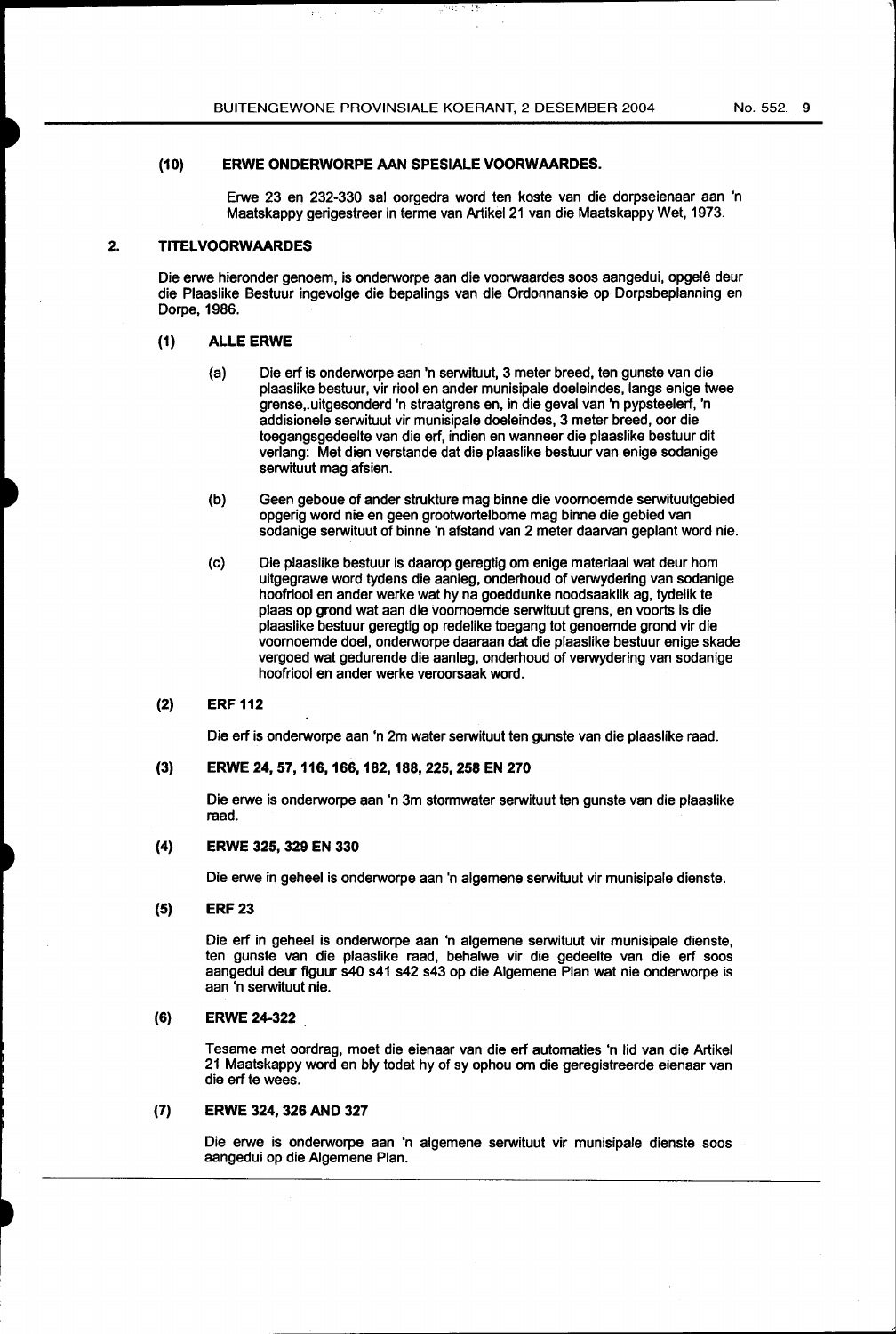#### (10) ERWE ONDERWORPE AAN SPESIALE VOORWAARDES.

Erwe 23 en 232-330 sal oorgedra word ten koste van die dorpseienaar aan 'n Maatskappy gerigestreer in terme van Artikef 21 van die Maatskappy Wet, 1973.

 $^{\circ}$  :  $^{\circ}$ 

 $\varphi^{2\alpha+1}$ 

#### 2. TITELVOORWAARDES

Die erwe hieronder genoem, is onderworpe aan die voorwaardes soos aangedui, opgefe deur die Pfaaslike Bestuur ingevolge die bepalings van die Ordonnansie op Dorpsbeplanning en Dorpe, 1986.

#### (1) ALLE ERWE

- (a) Die erf is onderworpe aan 'n serwituut, 3 meter breed, ten gunste van die plaaslike bestuur, vir riool en ander munisipale doeleindes, langs enige twee grense,.uitgesonderd 'n straatgrens en, in die gevaf van 'n pypsteelerf, 'n addisionele serwituut vir munisipale doeleindes, 3 meter breed, oor die toegangsgedeelte van die erf, indien en wanneer die plaaslike bestuur dit verlang: Met dien verstande dat die plaaslike bestuur van enige sodanige serwituut mag afsien.
- (b) Geen geboue of ander strukture mag binne die voomoemde serwituutgebied opgerig word nie en geen grootwortelbome mag binne die gebied van sodanige serwituut of binne 'n afstand van 2 meter daarvan geplant word nie.
- (c) Die plaaslike bestuur is daarop geregtig om enige materiaal wat deur hom uitgegrawe word tydens die aanleg, onderhoud of verwydering van sodanige hoofriool en ander werke wat hy na goeddunke noodsaaklik ag, tydelik te plaas op grond wat aan die voomoemde serwituut grens, en voorts is die plaaslike bestuur geregtig op redelike toegang tot genoemde grond vir die voomoemde doel, onderworpe daaraan dat die plaaslike bestuur enige skade vergoed wat gedurende die aanleg, onderhoud of verwydering van sodanige hoofriool en ander werke veroorsaak word.

#### (2) ERF 112

Die erf is onderworpe aan 'n 2m water serwituut ten gunste van die plaaslike raad.

#### (3) ERWE 24, 57, 116, 166, 182, 188,225,258 EN 270

Die erwe is onderworpe aan 'n 3m stormwater serwituut ten gunste van die plaaslike raad.

#### (4) ERWE 325, 329 EN 330

Die erwe in geheel is onderworpe aan 'n algemene serwituut vir munisipale dienste.

(5) ERF 23

Die erf in geheel is onderworpe aan 'n algemene serwituut vir munisipale dienste, ten gunste van die plaaslike raad, behalwe vir die gedeelte van die erf soos aangedui deur figuur s40 s41 s42 s43 op die Algemene Plan wat nie onderworpe is aan 'n serwituut nie.

#### (6) ERWE 24-322

Tesame met oordrag, moet die eienaar van die erf automaties 'n lid van die Artikel 21 Maatskappy word en bly todat hy of sy ophou om die geregistreerde eienaar van die erf te wees.

#### (7) ERWE 324, 326 AND 327

Die erwe is onderworpe aan 'n algemene serwituut vir munisipale dienste soos aangedui op die Algemene Plan.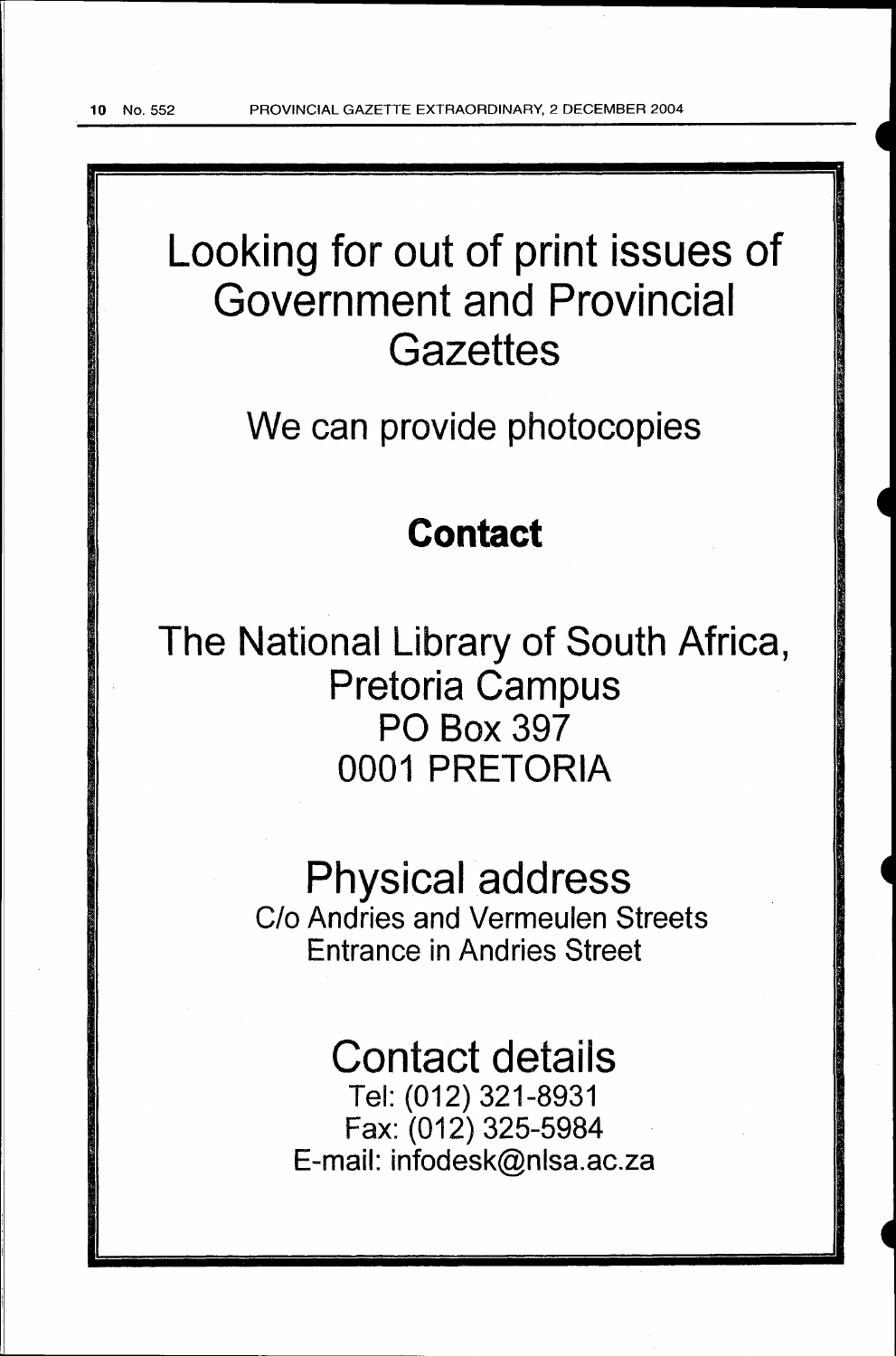# Looking for out of print issues of Government and Provincial **Gazettes**

We can provide photocopies

## **Contact**

The National Library of South Africa, Pretoria Campus PO Box 397 0001 PRETORIA

# Physical address

C/o Andries and Vermeulen Streets Entrance in Andries Street

# Contact details

Tel: (012) 321-8931 Fax: (012) 325-5984 E-mail: infodesk@nlsa.ac.za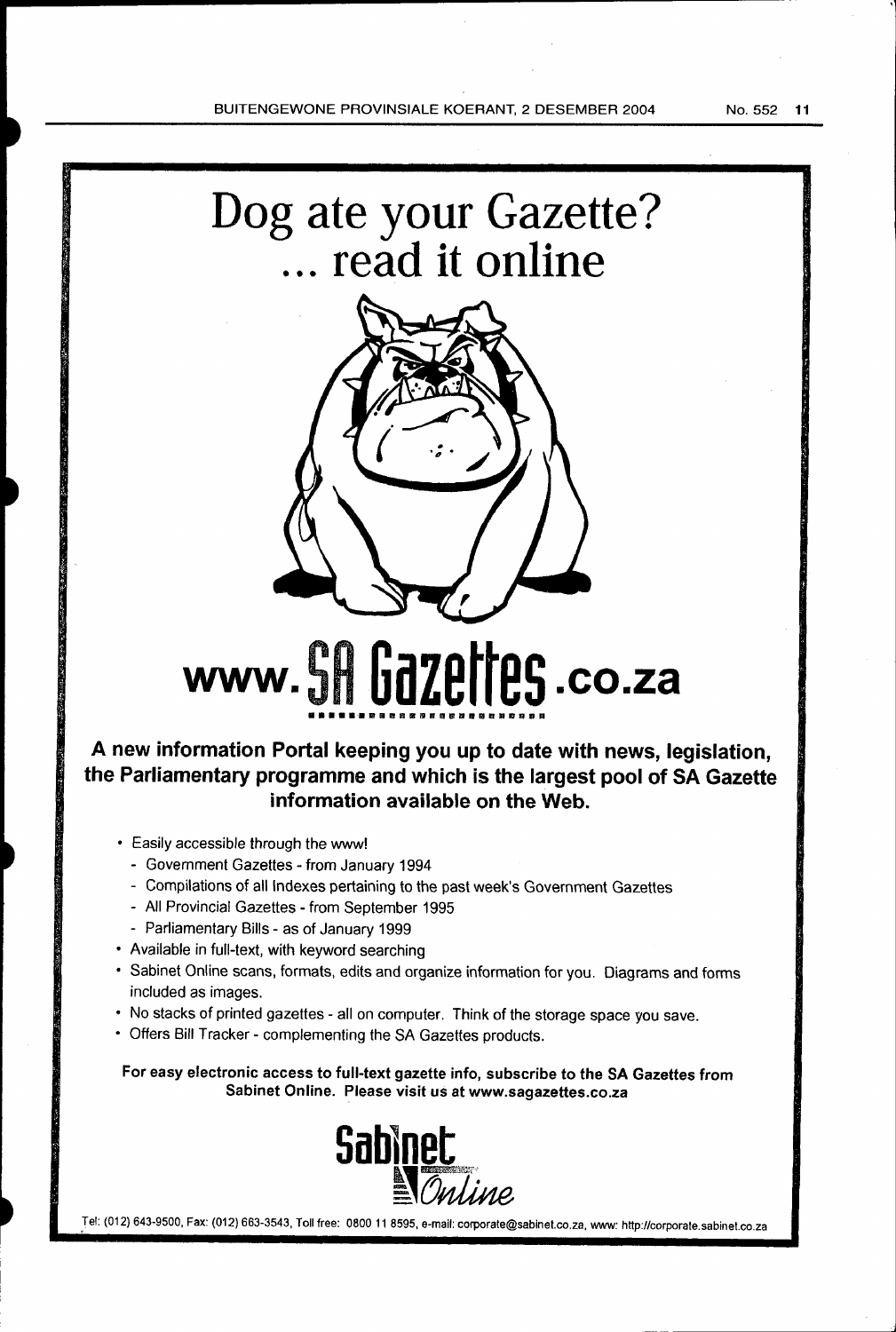



# **www. 5H Gazettes .co.za**

## **A new information Portal keeping you up to date with news, legislation, the Parliamentary programme and which is the largest pool of SA Gazette information available on the Web.**

- Easily accessible through the www!
	- Government Gazettes from January 1994
	- Compilations of all Indexes pertaining to the past week's Government Gazettes
	- All Provincial Gazettes- from September 1995
	- Parliamentary Bills as of January 1999
- Available in full-text, with keyword searching
- Sabinet Online scans, formats, edits and organize information for you. Diagrams and forms included as images.
- No stacks of printed gazettes- all on computer. Think of the storage space you save.
- Offers Bill Tracker- complementing the SA Gazettes products.

For easy electronic access to full-text gazette info, subscribe to the SA Gazettes from Sabinet Online. Please visit us at www.sagazettes.co.za



.Tel: (012) 643-9500, Fax: (012) 663-3543, Toll free: 0800 11 8595, e-mail: corporate@sabinet.co.za, www: http://corporate.sabinet.co.za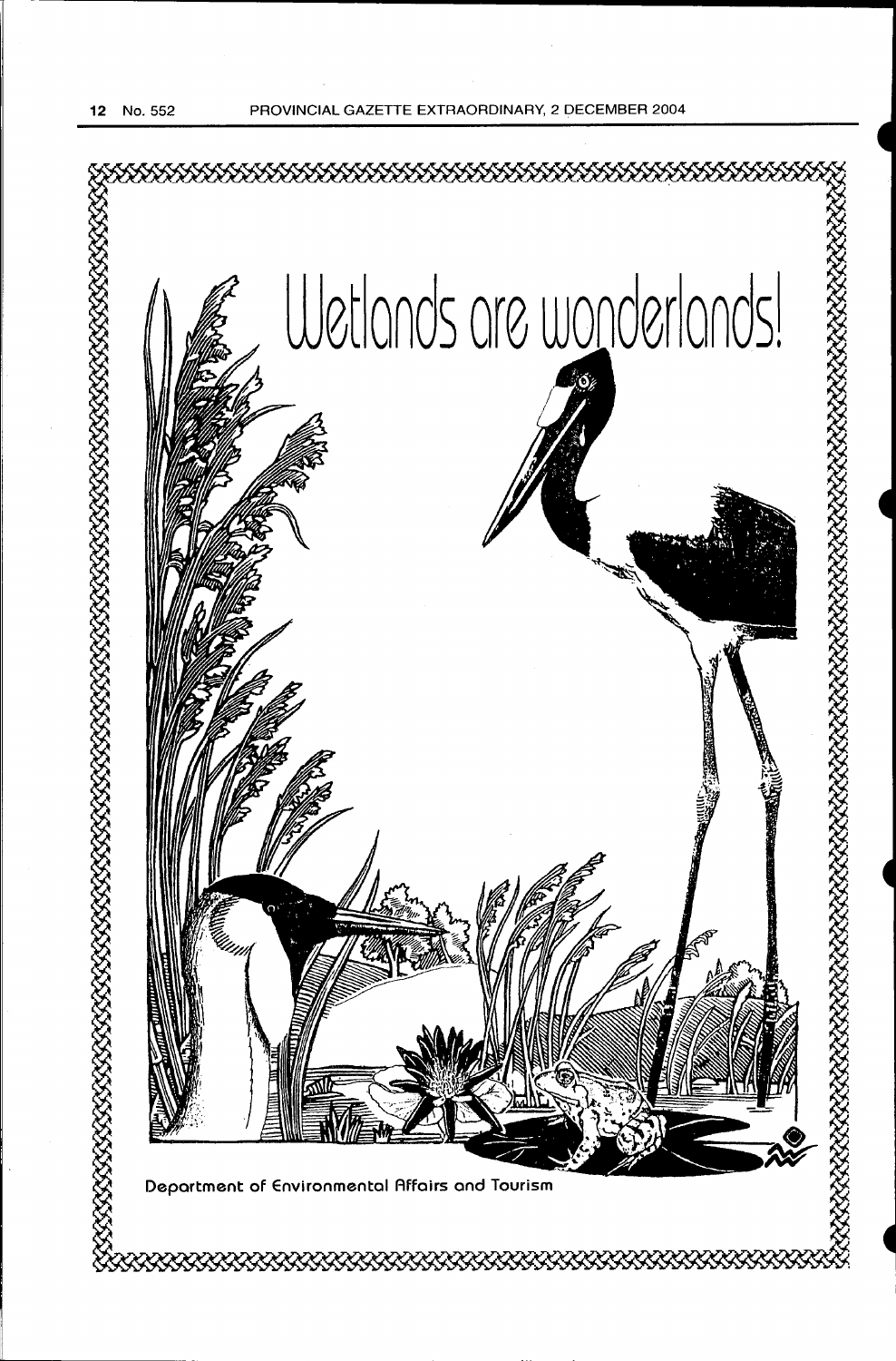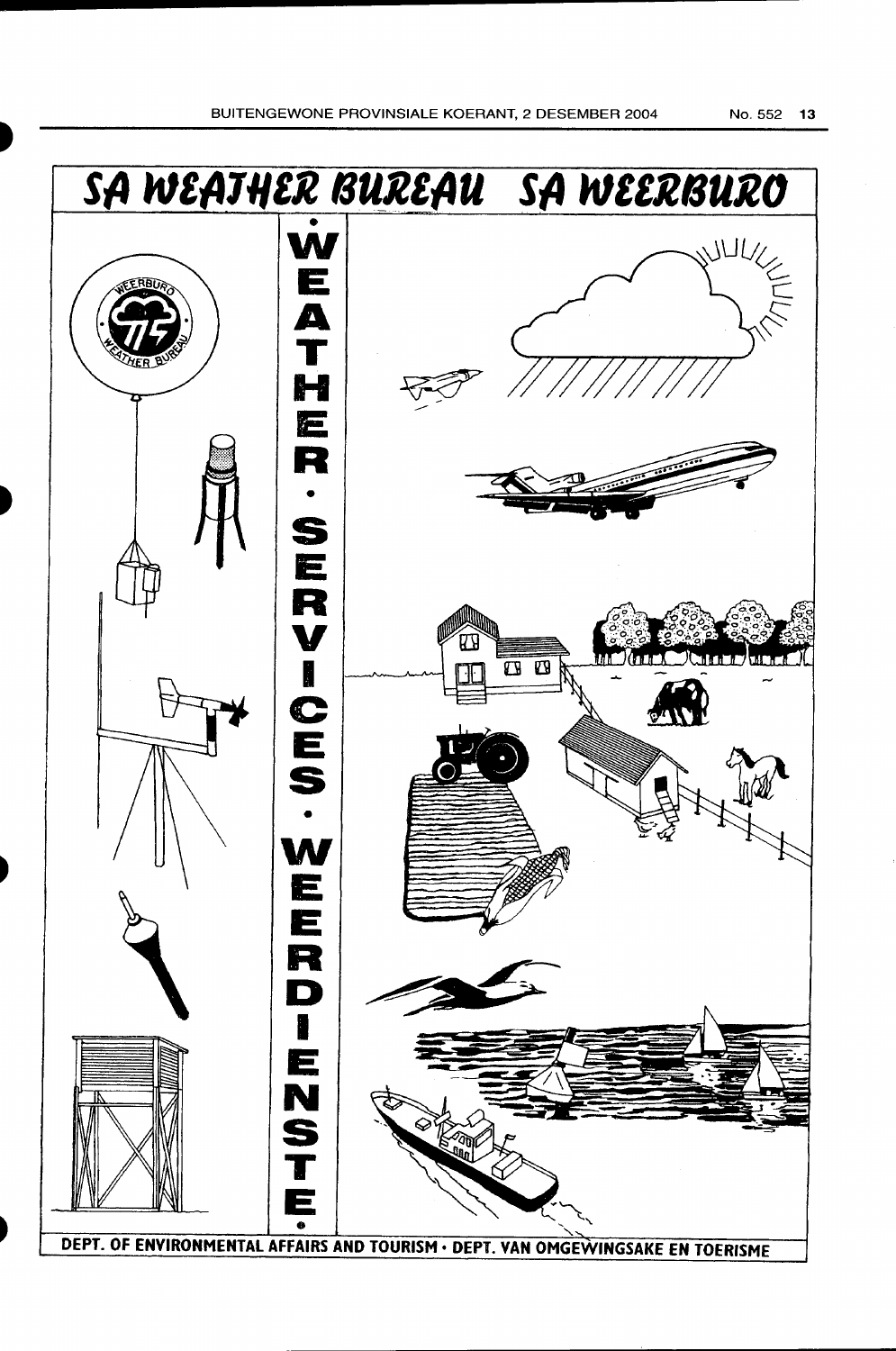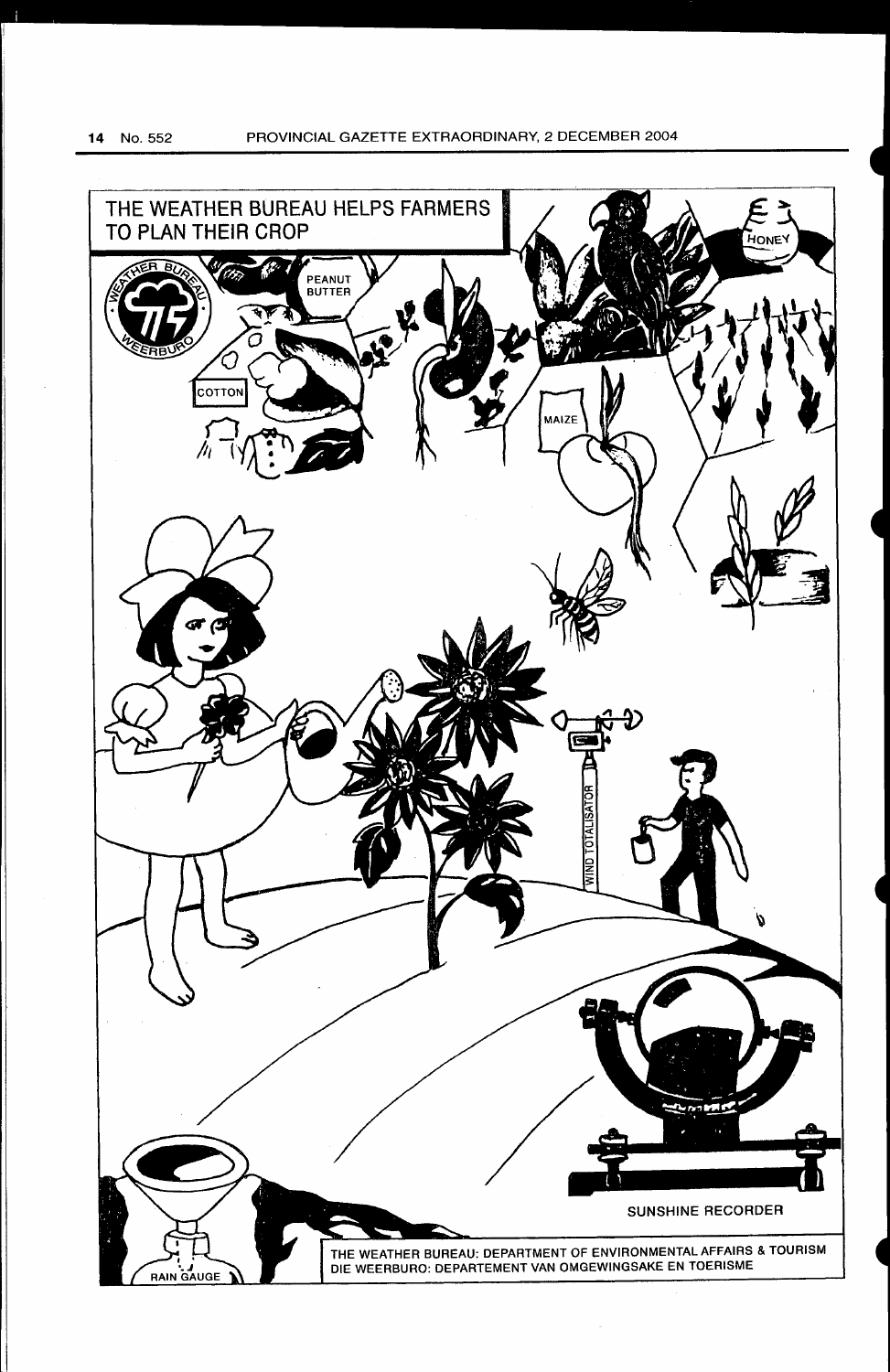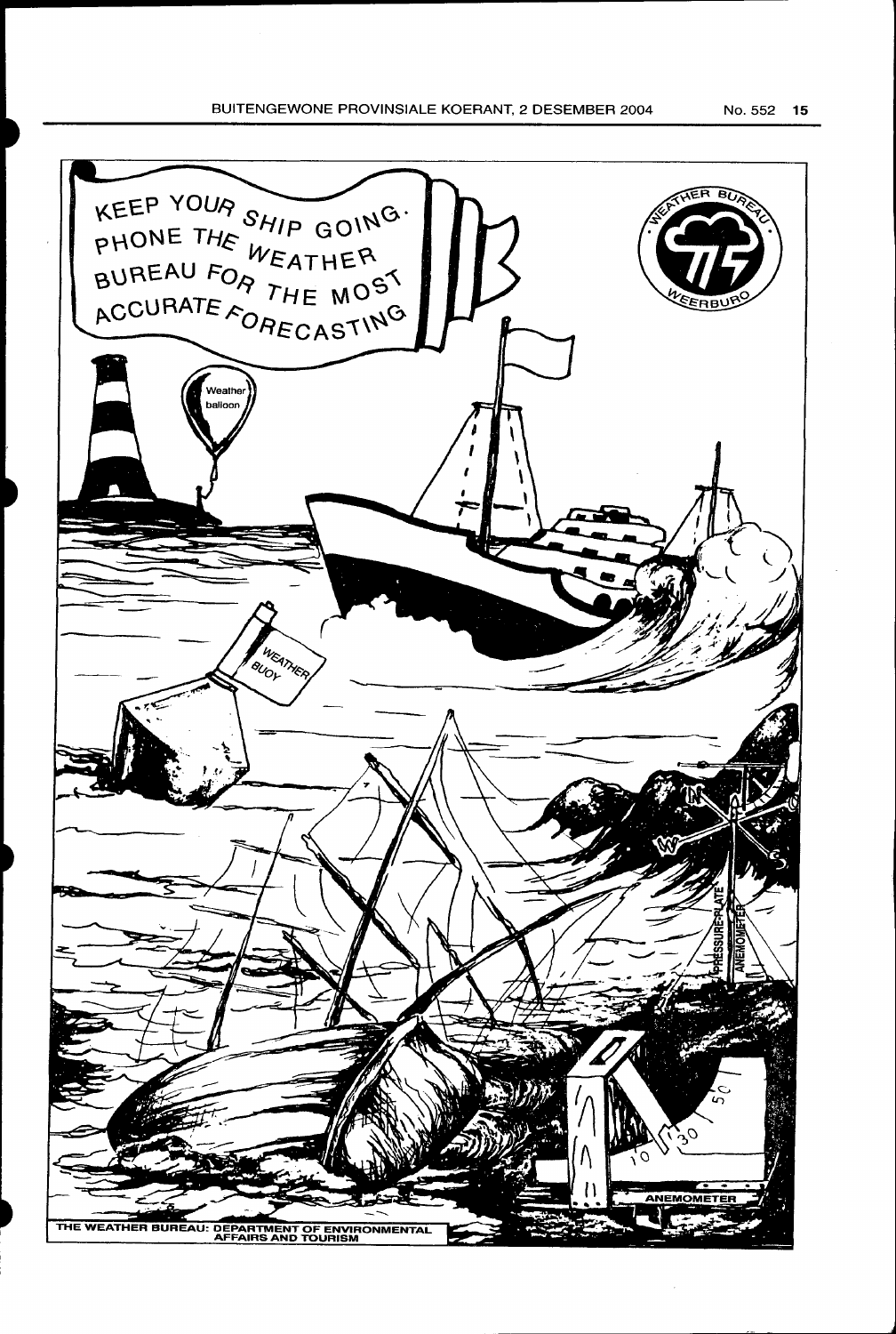